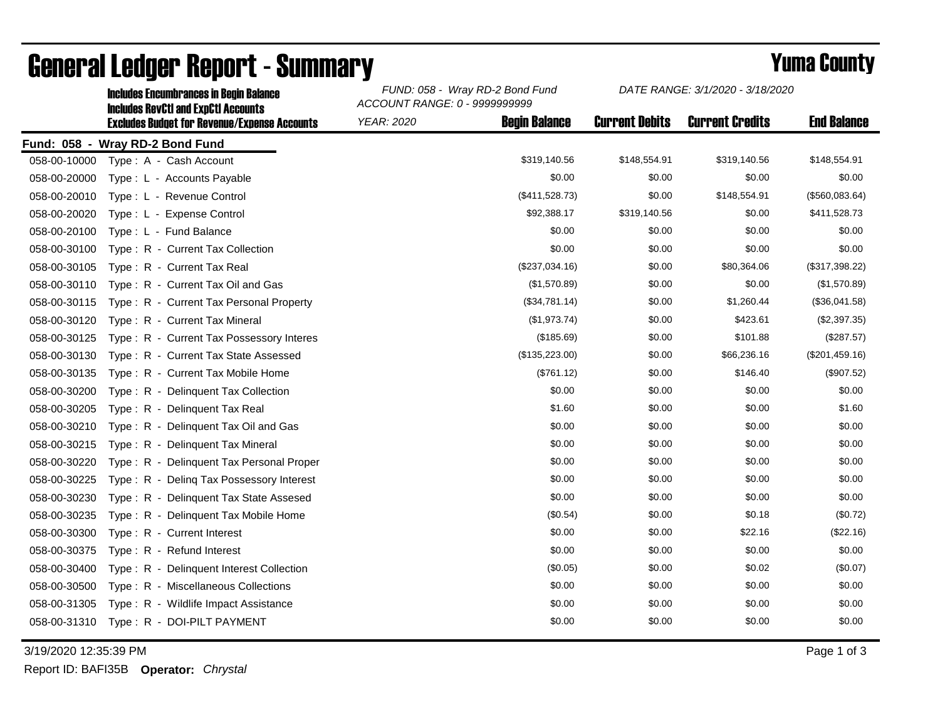|              | <b>Includes Encumbrances in Begin Balance</b><br><b>Includes RevCtI and ExpCtI Accounts</b> | FUND: 058 - Wray RD-2 Bond Fund<br>ACCOUNT RANGE: 0 - 9999999999 |                      | DATE RANGE: 3/1/2020 - 3/18/2020 |                        |                    |
|--------------|---------------------------------------------------------------------------------------------|------------------------------------------------------------------|----------------------|----------------------------------|------------------------|--------------------|
|              | <b>Excludes Budget for Revenue/Expense Accounts</b>                                         | YEAR: 2020                                                       | <b>Begin Balance</b> | <b>Current Debits</b>            | <b>Current Credits</b> | <b>End Balance</b> |
|              | Fund: 058 - Wray RD-2 Bond Fund                                                             |                                                                  |                      |                                  |                        |                    |
| 058-00-10000 | Type: A - Cash Account                                                                      |                                                                  | \$319,140.56         | \$148,554.91                     | \$319,140.56           | \$148,554.91       |
| 058-00-20000 | Type: L - Accounts Payable                                                                  |                                                                  | \$0.00               | \$0.00                           | \$0.00                 | \$0.00             |
| 058-00-20010 | Type: L - Revenue Control                                                                   |                                                                  | (\$411,528.73)       | \$0.00                           | \$148,554.91           | (\$560,083.64)     |
| 058-00-20020 | Type: L - Expense Control                                                                   |                                                                  | \$92,388.17          | \$319,140.56                     | \$0.00                 | \$411,528.73       |
| 058-00-20100 | Type: L - Fund Balance                                                                      |                                                                  | \$0.00               | \$0.00                           | \$0.00                 | \$0.00             |
| 058-00-30100 | Type: R - Current Tax Collection                                                            |                                                                  | \$0.00               | \$0.00                           | \$0.00                 | \$0.00             |
| 058-00-30105 | Type: R - Current Tax Real                                                                  |                                                                  | (\$237,034.16)       | \$0.00                           | \$80,364.06            | (\$317,398.22)     |
| 058-00-30110 | Type: R - Current Tax Oil and Gas                                                           |                                                                  | (\$1,570.89)         | \$0.00                           | \$0.00                 | (\$1,570.89)       |
| 058-00-30115 | Type: R - Current Tax Personal Property                                                     |                                                                  | (\$34,781.14)        | \$0.00                           | \$1,260.44             | (\$36,041.58)      |
| 058-00-30120 | Type: R - Current Tax Mineral                                                               |                                                                  | (\$1,973.74)         | \$0.00                           | \$423.61               | (\$2,397.35)       |
| 058-00-30125 | Type: R - Current Tax Possessory Interes                                                    |                                                                  | (\$185.69)           | \$0.00                           | \$101.88               | (\$287.57)         |
| 058-00-30130 | Type: R - Current Tax State Assessed                                                        |                                                                  | (\$135,223.00)       | \$0.00                           | \$66,236.16            | (\$201,459.16)     |
| 058-00-30135 | Type: R - Current Tax Mobile Home                                                           |                                                                  | (\$761.12)           | \$0.00                           | \$146.40               | (\$907.52)         |
| 058-00-30200 | Type: R - Delinquent Tax Collection                                                         |                                                                  | \$0.00               | \$0.00                           | \$0.00                 | \$0.00             |
| 058-00-30205 | Type: R - Delinquent Tax Real                                                               |                                                                  | \$1.60               | \$0.00                           | \$0.00                 | \$1.60             |
| 058-00-30210 | Type: R - Delinguent Tax Oil and Gas                                                        |                                                                  | \$0.00               | \$0.00                           | \$0.00                 | \$0.00             |
| 058-00-30215 | Type: R - Delinquent Tax Mineral                                                            |                                                                  | \$0.00               | \$0.00                           | \$0.00                 | \$0.00             |
| 058-00-30220 | Type: R - Delinquent Tax Personal Proper                                                    |                                                                  | \$0.00               | \$0.00                           | \$0.00                 | \$0.00             |
| 058-00-30225 | Type: R - Deling Tax Possessory Interest                                                    |                                                                  | \$0.00               | \$0.00                           | \$0.00                 | \$0.00             |
| 058-00-30230 | Type: R - Delinquent Tax State Assesed                                                      |                                                                  | \$0.00               | \$0.00                           | \$0.00                 | \$0.00             |
| 058-00-30235 | Type: R - Delinguent Tax Mobile Home                                                        |                                                                  | (\$0.54)             | \$0.00                           | \$0.18                 | (\$0.72)           |
| 058-00-30300 | Type: R - Current Interest                                                                  |                                                                  | \$0.00               | \$0.00                           | \$22.16                | (\$22.16)          |
| 058-00-30375 | Type: R - Refund Interest                                                                   |                                                                  | \$0.00               | \$0.00                           | \$0.00                 | \$0.00             |
| 058-00-30400 | Type: R - Delinquent Interest Collection                                                    |                                                                  | (\$0.05)             | \$0.00                           | \$0.02                 | (\$0.07)           |
| 058-00-30500 | Type: R - Miscellaneous Collections                                                         |                                                                  | \$0.00               | \$0.00                           | \$0.00                 | \$0.00             |
| 058-00-31305 | Type: R - Wildlife Impact Assistance                                                        |                                                                  | \$0.00               | \$0.00                           | \$0.00                 | \$0.00             |
| 058-00-31310 | Type: R - DOI-PILT PAYMENT                                                                  |                                                                  | \$0.00               | \$0.00                           | \$0.00                 | \$0.00             |

## General Ledger Report - Summary **Example 2018** Yuma County

3/19/2020 12:35:39 PM Page 1 of 3

Report ID: BAFI35B **Operator:** *Chrystal*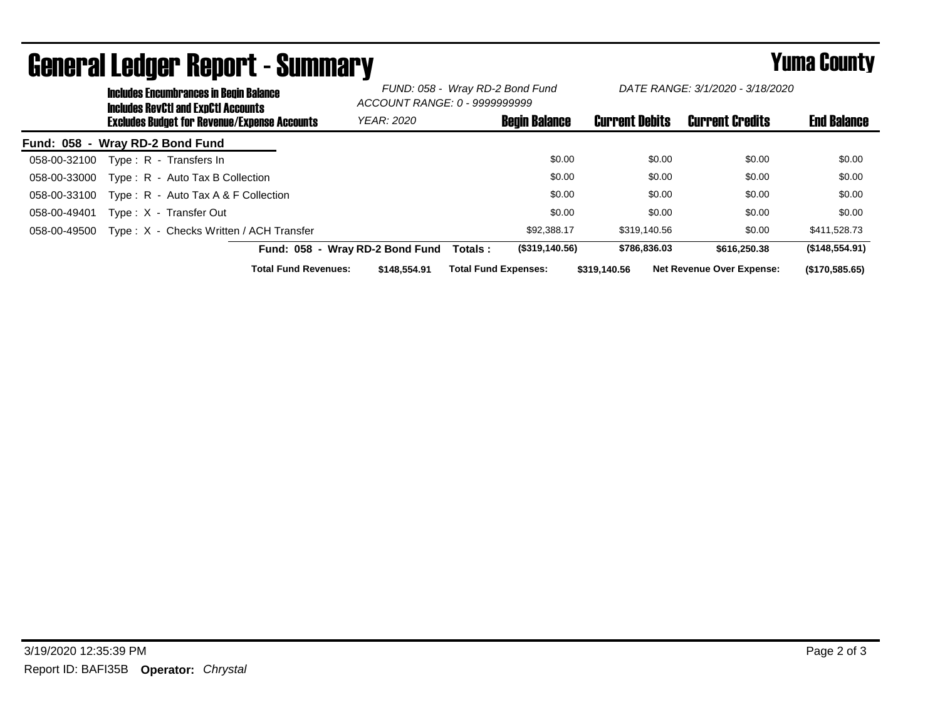|                                 | <b>Includes Encumbrances in Begin Balance</b><br><b>Includes RevCtI and ExpCtI Accounts</b><br><b>Excludes Budget for Revenue/Expense Accounts</b> |                                         |                             | FUND: 058 - Wray RD-2 Bond Fund<br>ACCOUNT RANGE: 0 - 9999999999 |                             | DATE RANGE: 3/1/2020 - 3/18/2020 |                       |        |                                  |                    |
|---------------------------------|----------------------------------------------------------------------------------------------------------------------------------------------------|-----------------------------------------|-----------------------------|------------------------------------------------------------------|-----------------------------|----------------------------------|-----------------------|--------|----------------------------------|--------------------|
|                                 |                                                                                                                                                    |                                         |                             | <b>YEAR: 2020</b>                                                |                             | <b>Begin Balance</b>             | <b>Current Debits</b> |        | <b>Current Credits</b>           | <b>End Balance</b> |
| Fund: 058 - Wray RD-2 Bond Fund |                                                                                                                                                    |                                         |                             |                                                                  |                             |                                  |                       |        |                                  |                    |
| 058-00-32100                    |                                                                                                                                                    | Type: R - Transfers In                  |                             |                                                                  |                             | \$0.00                           |                       | \$0.00 | \$0.00                           | \$0.00             |
| 058-00-33000                    |                                                                                                                                                    | Type: R - Auto Tax B Collection         |                             |                                                                  |                             | \$0.00                           |                       | \$0.00 | \$0.00                           | \$0.00             |
| 058-00-33100                    |                                                                                                                                                    | Type: $R -$ Auto Tax A & F Collection   |                             |                                                                  |                             | \$0.00                           |                       | \$0.00 | \$0.00                           | \$0.00             |
| 058-00-49401                    |                                                                                                                                                    | Type: X - Transfer Out                  |                             |                                                                  |                             | \$0.00                           |                       | \$0.00 | \$0.00                           | \$0.00             |
| 058-00-49500                    |                                                                                                                                                    | Type: X - Checks Written / ACH Transfer |                             |                                                                  |                             | \$92,388.17                      | \$319,140.56          |        | \$0.00                           | \$411,528.73       |
|                                 |                                                                                                                                                    |                                         |                             | Fund: 058 - Wray RD-2 Bond Fund                                  | Totals :                    | (\$319,140.56)                   | \$786,836.03          |        | \$616,250,38                     | (\$148,554.91)     |
|                                 |                                                                                                                                                    |                                         | <b>Total Fund Revenues:</b> | \$148,554.91                                                     | <b>Total Fund Expenses:</b> |                                  | \$319.140.56          |        | <b>Net Revenue Over Expense:</b> | (\$170,585.65)     |

## General Ledger Report - Summary **Example 2018** Yuma County

3/19/2020 12:35:39 PM Page 2 of 3 Report ID: BAFI35B **Operator:** *Chrystal*